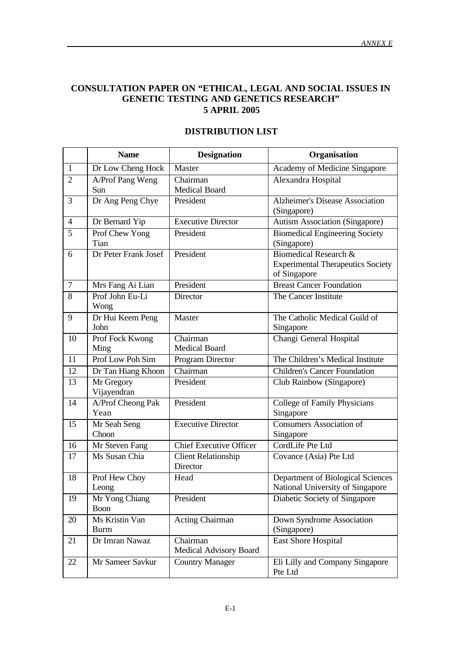## **CONSULTATION PAPER ON "ETHICAL, LEGAL AND SOCIAL ISSUES IN GENETIC TESTING AND GENETICS RESEARCH" 5 APRIL 2005**

|                 | <b>Name</b>                   | <b>Designation</b>                     | Organisation                                                                                 |
|-----------------|-------------------------------|----------------------------------------|----------------------------------------------------------------------------------------------|
| $\mathbf{1}$    | Dr Low Cheng Hock             | Master                                 | Academy of Medicine Singapore                                                                |
| $\overline{2}$  | A/Prof Pang Weng<br>Sun       | Chairman<br><b>Medical Board</b>       | Alexandra Hospital                                                                           |
| 3               | Dr Ang Peng Chye              | President                              | <b>Alzheimer's Disease Association</b><br>(Singapore)                                        |
| $\overline{4}$  | Dr Bernard Yip                | <b>Executive Director</b>              | <b>Autism Association (Singapore)</b>                                                        |
| $\overline{5}$  | Prof Chew Yong<br>Tian        | President                              | <b>Biomedical Engineering Society</b><br>(Singapore)                                         |
| 6               | Dr Peter Frank Josef          | President                              | <b>Biomedical Research &amp;</b><br><b>Experimental Therapeutics Society</b><br>of Singapore |
| $\overline{7}$  | Mrs Fang Ai Lian              | President                              | <b>Breast Cancer Foundation</b>                                                              |
| 8               | Prof John Eu-Li<br>Wong       | Director                               | The Cancer Institute                                                                         |
| 9               | Dr Hui Keem Peng<br>John      | Master                                 | The Catholic Medical Guild of<br>Singapore                                                   |
| 10              | Prof Fock Kwong<br>Ming       | Chairman<br><b>Medical Board</b>       | Changi General Hospital                                                                      |
| 11              | Prof Low Poh Sim              | Program Director                       | The Children's Medical Institute                                                             |
| 12              | Dr Tan Hiang Khoon            | Chairman                               | <b>Children's Cancer Foundation</b>                                                          |
| 13              | Mr Gregory<br>Vijayendran     | President                              | Club Rainbow (Singapore)                                                                     |
| 14              | A/Prof Cheong Pak<br>Yean     | President                              | College of Family Physicians<br>Singapore                                                    |
| 15              | Mr Seah Seng<br>Choon         | <b>Executive Director</b>              | <b>Consumers Association of</b><br>Singapore                                                 |
| 16              | Mr Steven Fang                | <b>Chief Executive Officer</b>         | CordLife Pte Ltd                                                                             |
| 17              | Ms Susan Chia                 | <b>Client Relationship</b><br>Director | Covance (Asia) Pte Ltd                                                                       |
| 18              | Prof Hew Choy<br>Leong        | Head                                   | Department of Biological Sciences<br>National University of Singapore                        |
| $\overline{19}$ | Mr Yong Chiang<br>Boon        | President                              | Diabetic Society of Singapore                                                                |
| 20              | Ms Kristin Van<br><b>Burm</b> | <b>Acting Chairman</b>                 | Down Syndrome Association<br>(Singapore)                                                     |
| 21              | Dr Imran Nawaz                | Chairman<br>Medical Advisory Board     | East Shore Hospital                                                                          |
| 22              | Mr Sameer Savkur              | <b>Country Manager</b>                 | Eli Lilly and Company Singapore<br>Pte Ltd                                                   |

## **DISTRIBUTION LIST**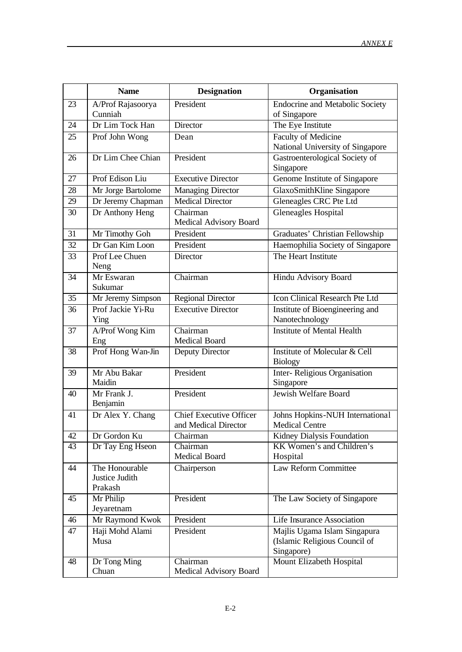|    | <b>Name</b>                      | <b>Designation</b>             | Organisation                           |
|----|----------------------------------|--------------------------------|----------------------------------------|
| 23 | A/Prof Rajasoorya                | President                      | <b>Endocrine and Metabolic Society</b> |
|    | Cunniah                          |                                | of Singapore                           |
| 24 | Dr Lim Tock Han                  | Director                       | The Eye Institute                      |
| 25 | Prof John Wong                   | Dean                           | <b>Faculty of Medicine</b>             |
|    |                                  |                                | National University of Singapore       |
| 26 | Dr Lim Chee Chian                | President                      | Gastroenterological Society of         |
|    |                                  |                                | Singapore                              |
| 27 | Prof Edison Liu                  | <b>Executive Director</b>      | Genome Institute of Singapore          |
| 28 | Mr Jorge Bartolome               | <b>Managing Director</b>       | GlaxoSmithKline Singapore              |
| 29 | Dr Jeremy Chapman                | <b>Medical Director</b>        | Gleneagles CRC Pte Ltd                 |
| 30 | Dr Anthony Heng                  | Chairman                       | <b>Gleneagles Hospital</b>             |
|    |                                  | Medical Advisory Board         |                                        |
| 31 | Mr Timothy Goh                   | President                      | Graduates' Christian Fellowship        |
| 32 | Dr Gan Kim Loon                  | President                      | Haemophilia Society of Singapore       |
| 33 | Prof Lee Chuen<br>Neng           | Director                       | The Heart Institute                    |
| 34 | Mr Eswaran<br>Sukumar            | Chairman                       | Hindu Advisory Board                   |
| 35 | Mr Jeremy Simpson                | <b>Regional Director</b>       | Icon Clinical Research Pte Ltd         |
| 36 | Prof Jackie Yi-Ru                | <b>Executive Director</b>      | Institute of Bioengineering and        |
|    | Ying                             |                                | Nanotechnology                         |
| 37 | A/Prof Wong Kim                  | Chairman                       | <b>Institute of Mental Health</b>      |
|    | Eng                              | <b>Medical Board</b>           |                                        |
| 38 | Prof Hong Wan-Jin                | <b>Deputy Director</b>         | Institute of Molecular & Cell          |
|    |                                  |                                | <b>Biology</b>                         |
| 39 | Mr Abu Bakar                     | President                      | <b>Inter-Religious Organisation</b>    |
|    | Maidin                           |                                | Singapore                              |
| 40 | Mr Frank J.                      | President                      | <b>Jewish Welfare Board</b>            |
|    | Benjamin                         |                                |                                        |
| 41 | Dr Alex Y. Chang                 | <b>Chief Executive Officer</b> | Johns Hopkins-NUH International        |
|    |                                  | and Medical Director           | <b>Medical Centre</b>                  |
| 42 | Dr Gordon Ku                     | Chairman                       | Kidney Dialysis Foundation             |
| 43 | Dr Tay Eng Hseon                 | Chairman                       | KK Women's and Children's              |
|    |                                  | <b>Medical Board</b>           | Hospital                               |
| 44 | The Honourable<br>Justice Judith | Chairperson                    | Law Reform Committee                   |
|    | Prakash                          |                                |                                        |
| 45 | Mr Philip                        | President                      | The Law Society of Singapore           |
|    | Jeyaretnam                       |                                |                                        |
| 46 | Mr Raymond Kwok                  | President                      | Life Insurance Association             |
| 47 | Haji Mohd Alami                  | President                      | Majlis Ugama Islam Singapura           |
|    | Musa                             |                                | (Islamic Religious Council of          |
|    |                                  |                                | Singapore)                             |
| 48 | Dr Tong Ming                     | Chairman                       | Mount Elizabeth Hospital               |
|    | Chuan                            | Medical Advisory Board         |                                        |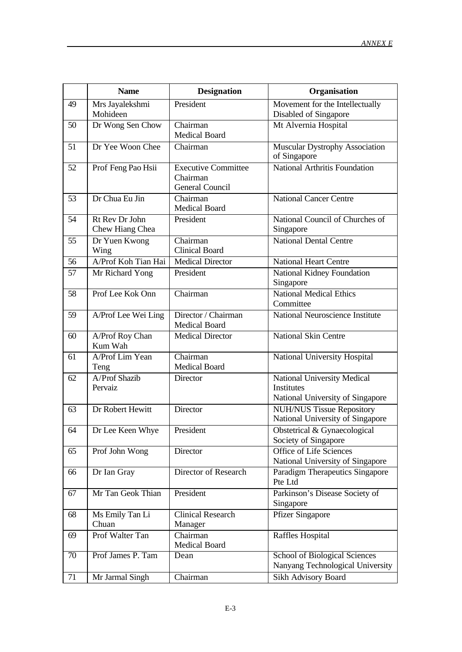|    | <b>Name</b>                       | <b>Designation</b>                                               | Organisation                                                                  |
|----|-----------------------------------|------------------------------------------------------------------|-------------------------------------------------------------------------------|
| 49 | Mrs Jayalekshmi<br>Mohideen       | President                                                        | Movement for the Intellectually<br>Disabled of Singapore                      |
| 50 | Dr Wong Sen Chow                  | Chairman<br><b>Medical Board</b>                                 | Mt Alvernia Hospital                                                          |
| 51 | Dr Yee Woon Chee                  | Chairman                                                         | <b>Muscular Dystrophy Association</b><br>of Singapore                         |
| 52 | Prof Feng Pao Hsii                | <b>Executive Committee</b><br>Chairman<br><b>General Council</b> | National Arthritis Foundation                                                 |
| 53 | Dr Chua Eu Jin                    | Chairman<br><b>Medical Board</b>                                 | <b>National Cancer Centre</b>                                                 |
| 54 | Rt Rev Dr John<br>Chew Hiang Chea | President                                                        | National Council of Churches of<br>Singapore                                  |
| 55 | Dr Yuen Kwong<br>Wing             | Chairman<br><b>Clinical Board</b>                                | <b>National Dental Centre</b>                                                 |
| 56 | A/Prof Koh Tian Hai               | <b>Medical Director</b>                                          | National Heart Centre                                                         |
| 57 | Mr Richard Yong                   | President                                                        | National Kidney Foundation<br>Singapore                                       |
| 58 | Prof Lee Kok Onn                  | Chairman                                                         | <b>National Medical Ethics</b><br>Committee                                   |
| 59 | A/Prof Lee Wei Ling               | Director / Chairman<br><b>Medical Board</b>                      | <b>National Neuroscience Institute</b>                                        |
| 60 | A/Prof Roy Chan<br>Kum Wah        | <b>Medical Director</b>                                          | <b>National Skin Centre</b>                                                   |
| 61 | A/Prof Lim Yean<br>Teng           | Chairman<br><b>Medical Board</b>                                 | National University Hospital                                                  |
| 62 | A/Prof Shazib<br>Pervaiz          | Director                                                         | National University Medical<br>Institutes<br>National University of Singapore |
| 63 | Dr Robert Hewitt                  | Director                                                         | <b>NUH/NUS Tissue Repository</b><br>National University of Singapore          |
| 64 | Dr Lee Keen Whye                  | President                                                        | Obstetrical & Gynaecological<br>Society of Singapore                          |
| 65 | Prof John Wong                    | Director                                                         | Office of Life Sciences<br>National University of Singapore                   |
| 66 | Dr Ian Gray                       | Director of Research                                             | Paradigm Therapeutics Singapore<br>Pte Ltd                                    |
| 67 | Mr Tan Geok Thian                 | President                                                        | Parkinson's Disease Society of<br>Singapore                                   |
| 68 | Ms Emily Tan Li<br>Chuan          | <b>Clinical Research</b><br>Manager                              | <b>Pfizer Singapore</b>                                                       |
| 69 | Prof Walter Tan                   | Chairman<br><b>Medical Board</b>                                 | Raffles Hospital                                                              |
| 70 | Prof James P. Tam                 | Dean                                                             | School of Biological Sciences<br>Nanyang Technological University             |
| 71 | Mr Jarmal Singh                   | Chairman                                                         | Sikh Advisory Board                                                           |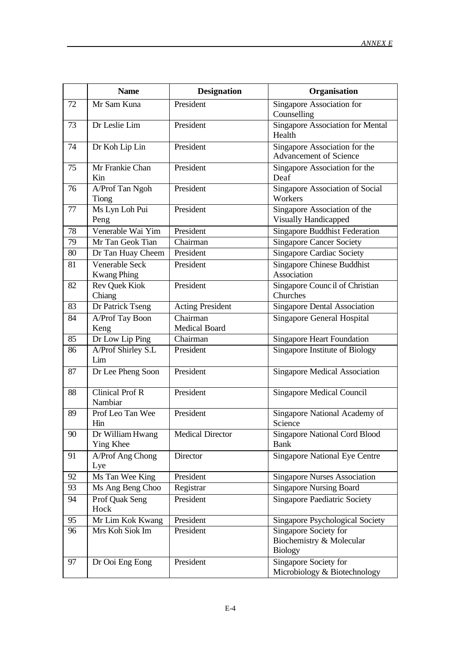|    | <b>Name</b>                          | <b>Designation</b>               | Organisation                                                        |
|----|--------------------------------------|----------------------------------|---------------------------------------------------------------------|
| 72 | Mr Sam Kuna                          | President                        | Singapore Association for<br>Counselling                            |
| 73 | Dr Leslie Lim                        | President                        | <b>Singapore Association for Mental</b><br>Health                   |
| 74 | Dr Koh Lip Lin                       | President                        | Singapore Association for the<br>Advancement of Science             |
| 75 | Mr Frankie Chan<br>Kin               | President                        | Singapore Association for the<br>Deaf                               |
| 76 | A/Prof Tan Ngoh<br>Tiong             | President                        | Singapore Association of Social<br>Workers                          |
| 77 | Ms Lyn Loh Pui<br>Peng               | President                        | Singapore Association of the<br><b>Visually Handicapped</b>         |
| 78 | Venerable Wai Yim                    | President                        | <b>Singapore Buddhist Federation</b>                                |
| 79 | Mr Tan Geok Tian                     | Chairman                         | <b>Singapore Cancer Society</b>                                     |
| 80 | Dr Tan Huay Cheem                    | President                        | <b>Singapore Cardiac Society</b>                                    |
| 81 | Venerable Seck<br><b>Kwang Phing</b> | President                        | Singapore Chinese Buddhist<br>Association                           |
| 82 | <b>Rev Quek Kiok</b><br>Chiang       | President                        | Singapore Council of Christian<br>Churches                          |
| 83 | Dr Patrick Tseng                     | <b>Acting President</b>          | <b>Singapore Dental Association</b>                                 |
| 84 | A/Prof Tay Boon<br>Keng              | Chairman<br><b>Medical Board</b> | Singapore General Hospital                                          |
| 85 | Dr Low Lip Ping                      | Chairman                         | <b>Singapore Heart Foundation</b>                                   |
| 86 | A/Prof Shirley S.L<br>Lim            | President                        | Singapore Institute of Biology                                      |
| 87 | Dr Lee Pheng Soon                    | President                        | Singapore Medical Association                                       |
| 88 | <b>Clinical Prof R</b><br>Nambiar    | President                        | <b>Singapore Medical Council</b>                                    |
| 89 | Prof Leo Tan Wee<br>Hin              | President                        | Singapore National Academy of<br>Science                            |
| 90 | Dr William Hwang<br>Ying Khee        | <b>Medical Director</b>          | <b>Singapore National Cord Blood</b><br>Bank                        |
| 91 | A/Prof Ang Chong<br>Lye              | Director                         | <b>Singapore National Eye Centre</b>                                |
| 92 | Ms Tan Wee King                      | President                        | <b>Singapore Nurses Association</b>                                 |
| 93 | Ms Ang Beng Choo                     | Registrar                        | <b>Singapore Nursing Board</b>                                      |
| 94 | Prof Quak Seng<br>Hock               | President                        | Singapore Paediatric Society                                        |
| 95 | Mr Lim Kok Kwang                     | President                        | <b>Singapore Psychological Society</b>                              |
| 96 | Mrs Koh Siok Im                      | President                        | Singapore Society for<br>Biochemistry & Molecular<br><b>Biology</b> |
| 97 | Dr Ooi Eng Eong                      | President                        | Singapore Society for<br>Microbiology & Biotechnology               |